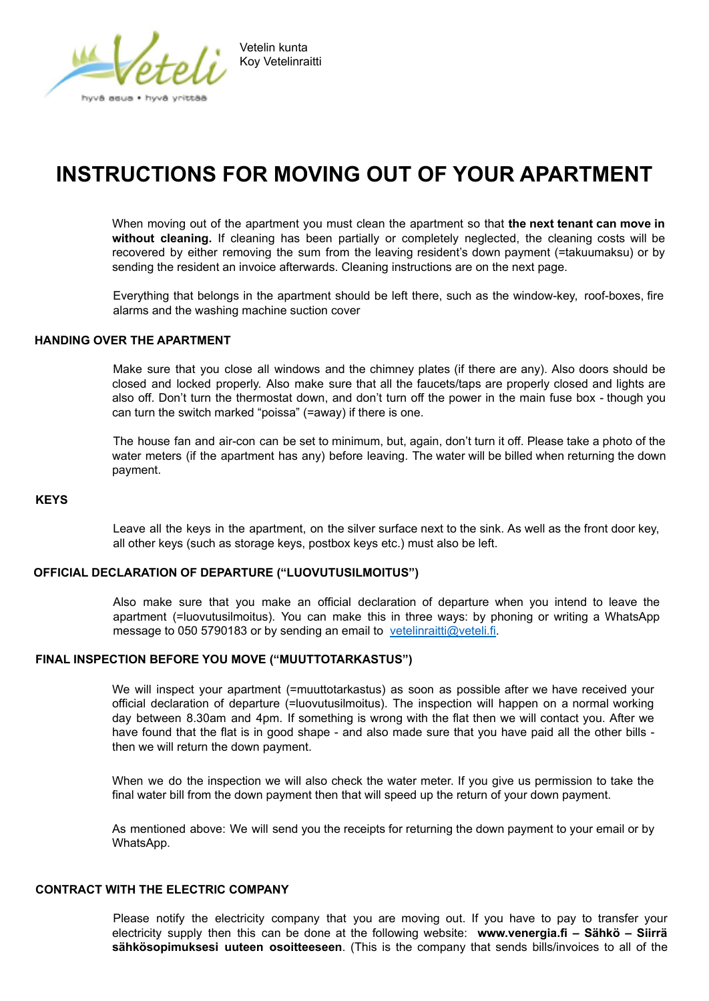

# **INSTRUCTIONS FOR MOVING OUT OF YOUR APARTMENT**

When moving out of the apartment you must clean the apartment so that **the next tenant can move in without cleaning.** If cleaning has been partially or completely neglected, the cleaning costs will be recovered by either removing the sum from the leaving resident's down payment (=takuumaksu) or by sending the resident an invoice afterwards. Cleaning instructions are on the next page.

Everything that belongs in the apartment should be left there, such as the window-key, roof-boxes, fire alarms and the washing machine suction cover

#### **HANDING OVER THE APARTMENT**

Make sure that you close all windows and the chimney plates (if there are any). Also doors should be closed and locked properly. Also make sure that all the faucets/taps are properly closed and lights are also off. Don't turn the thermostat down, and don't turn off the power in the main fuse box - though you can turn the switch marked "poissa" (=away) if there is one.

The house fan and air-con can be set to minimum, but, again, don't turn it off. Please take a photo of the water meters (if the apartment has any) before leaving. The water will be billed when returning the down payment.

#### **KEYS**

Leave all the keys in the apartment, on the silver surface next to the sink. As well as the front door key, all other keys (such as storage keys, postbox keys etc.) must also be left.

### **OFFICIAL DECLARATION OF DEPARTURE ("LUOVUTUSILMOITUS")**

Also make sure that you make an official declaration of departure when you intend to leave the apartment (=luovutusilmoitus). You can make this in three ways: by phoning or writing a WhatsApp message to 050 5790183 or by sending an email to vetelinraitti@veteli.fi.

#### **FINAL INSPECTION BEFORE YOU MOVE ("MUUTTOTARKASTUS")**

We will inspect your apartment (=muuttotarkastus) as soon as possible after we have received your official declaration of departure (=luovutusilmoitus). The inspection will happen on a normal working day between 8.30am and 4pm. If something is wrong with the flat then we will contact you. After we have found that the flat is in good shape - and also made sure that you have paid all the other bills then we will return the down payment.

When we do the inspection we will also check the water meter. If you give us permission to take the final water bill from the down payment then that will speed up the return of your down payment.

As mentioned above: We will send you the receipts for returning the down payment to your email or by WhatsApp.

#### **CONTRACT WITH THE ELECTRIC COMPANY**

Please notify the electricity company that you are moving out. If you have to pay to transfer your electricity supply then this can be done at the following website: **www.venergia.fi – Sähkö – Siirrä sähkösopimuksesi uuteen osoitteeseen**. (This is the company that sends bills/invoices to all of the